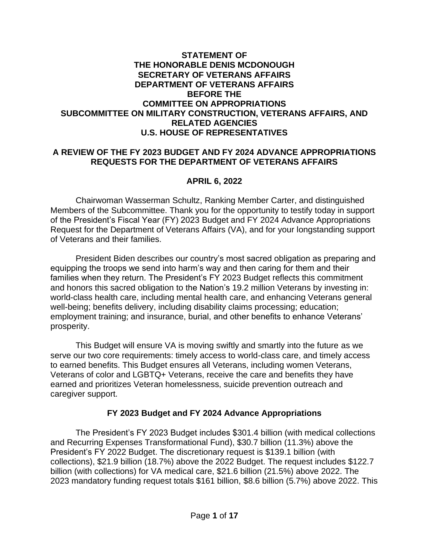#### **STATEMENT OF THE HONORABLE DENIS MCDONOUGH SECRETARY OF VETERANS AFFAIRS DEPARTMENT OF VETERANS AFFAIRS BEFORE THE COMMITTEE ON APPROPRIATIONS SUBCOMMITTEE ON MILITARY CONSTRUCTION, VETERANS AFFAIRS, AND RELATED AGENCIES U.S. HOUSE OF REPRESENTATIVES**

#### **A REVIEW OF THE FY 2023 BUDGET AND FY 2024 ADVANCE APPROPRIATIONS REQUESTS FOR THE DEPARTMENT OF VETERANS AFFAIRS**

#### **APRIL 6, 2022**

Chairwoman Wasserman Schultz, Ranking Member Carter, and distinguished Members of the Subcommittee. Thank you for the opportunity to testify today in support of the President's Fiscal Year (FY) 2023 Budget and FY 2024 Advance Appropriations Request for the Department of Veterans Affairs (VA), and for your longstanding support of Veterans and their families.

President Biden describes our country's most sacred obligation as preparing and equipping the troops we send into harm's way and then caring for them and their families when they return. The President's FY 2023 Budget reflects this commitment and honors this sacred obligation to the Nation's 19.2 million Veterans by investing in: world-class health care, including mental health care, and enhancing Veterans general well-being; benefits delivery, including disability claims processing; education; employment training; and insurance, burial, and other benefits to enhance Veterans' prosperity.

This Budget will ensure VA is moving swiftly and smartly into the future as we serve our two core requirements: timely access to world-class care, and timely access to earned benefits. This Budget ensures all Veterans, including women Veterans, Veterans of color and LGBTQ+ Veterans, receive the care and benefits they have earned and prioritizes Veteran homelessness, suicide prevention outreach and caregiver support.

## **FY 2023 Budget and FY 2024 Advance Appropriations**

The President's FY 2023 Budget includes \$301.4 billion (with medical collections and Recurring Expenses Transformational Fund), \$30.7 billion (11.3%) above the President's FY 2022 Budget. The discretionary request is \$139.1 billion (with collections), \$21.9 billion (18.7%) above the 2022 Budget. The request includes \$122.7 billion (with collections) for VA medical care, \$21.6 billion (21.5%) above 2022. The 2023 mandatory funding request totals \$161 billion, \$8.6 billion (5.7%) above 2022. This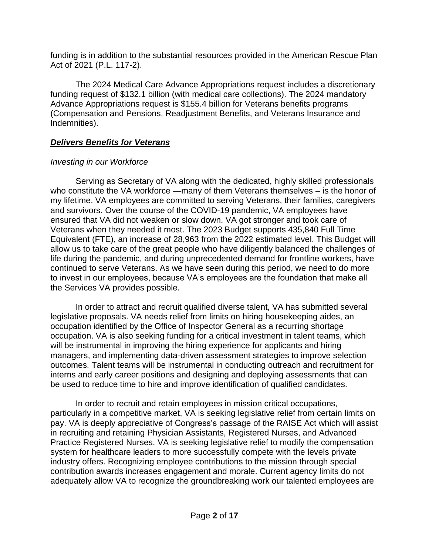funding is in addition to the substantial resources provided in the American Rescue Plan Act of 2021 (P.L. 117-2).

The 2024 Medical Care Advance Appropriations request includes a discretionary funding request of \$132.1 billion (with medical care collections). The 2024 mandatory Advance Appropriations request is \$155.4 billion for Veterans benefits programs (Compensation and Pensions, Readjustment Benefits, and Veterans Insurance and Indemnities).

## *Delivers Benefits for Veterans*

# *Investing in our Workforce*

Serving as Secretary of VA along with the dedicated, highly skilled professionals who constitute the VA workforce —many of them Veterans themselves – is the honor of my lifetime. VA employees are committed to serving Veterans, their families, caregivers and survivors. Over the course of the COVID-19 pandemic, VA employees have ensured that VA did not weaken or slow down. VA got stronger and took care of Veterans when they needed it most. The 2023 Budget supports 435,840 Full Time Equivalent (FTE), an increase of 28,963 from the 2022 estimated level. This Budget will allow us to take care of the great people who have diligently balanced the challenges of life during the pandemic, and during unprecedented demand for frontline workers, have continued to serve Veterans. As we have seen during this period, we need to do more to invest in our employees, because VA's employees are the foundation that make all the Services VA provides possible.

In order to attract and recruit qualified diverse talent, VA has submitted several legislative proposals. VA needs relief from limits on hiring housekeeping aides, an occupation identified by the Office of Inspector General as a recurring shortage occupation. VA is also seeking funding for a critical investment in talent teams, which will be instrumental in improving the hiring experience for applicants and hiring managers, and implementing data-driven assessment strategies to improve selection outcomes. Talent teams will be instrumental in conducting outreach and recruitment for interns and early career positions and designing and deploying assessments that can be used to reduce time to hire and improve identification of qualified candidates.

In order to recruit and retain employees in mission critical occupations, particularly in a competitive market, VA is seeking legislative relief from certain limits on pay. VA is deeply appreciative of Congress's passage of the RAISE Act which will assist in recruiting and retaining Physician Assistants, Registered Nurses, and Advanced Practice Registered Nurses. VA is seeking legislative relief to modify the compensation system for healthcare leaders to more successfully compete with the levels private industry offers. Recognizing employee contributions to the mission through special contribution awards increases engagement and morale. Current agency limits do not adequately allow VA to recognize the groundbreaking work our talented employees are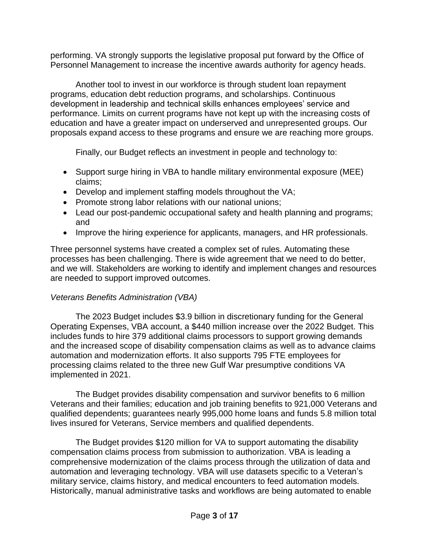performing. VA strongly supports the legislative proposal put forward by the Office of Personnel Management to increase the incentive awards authority for agency heads.

Another tool to invest in our workforce is through student loan repayment programs, education debt reduction programs, and scholarships. Continuous development in leadership and technical skills enhances employees' service and performance. Limits on current programs have not kept up with the increasing costs of education and have a greater impact on underserved and unrepresented groups. Our proposals expand access to these programs and ensure we are reaching more groups.

Finally, our Budget reflects an investment in people and technology to:

- Support surge hiring in VBA to handle military environmental exposure (MEE) claims;
- Develop and implement staffing models throughout the VA;
- Promote strong labor relations with our national unions;
- Lead our post-pandemic occupational safety and health planning and programs: and
- Improve the hiring experience for applicants, managers, and HR professionals.

Three personnel systems have created a complex set of rules. Automating these processes has been challenging. There is wide agreement that we need to do better, and we will. Stakeholders are working to identify and implement changes and resources are needed to support improved outcomes.

# *Veterans Benefits Administration (VBA)*

The 2023 Budget includes \$3.9 billion in discretionary funding for the General Operating Expenses, VBA account, a \$440 million increase over the 2022 Budget. This includes funds to hire 379 additional claims processors to support growing demands and the increased scope of disability compensation claims as well as to advance claims automation and modernization efforts. It also supports 795 FTE employees for processing claims related to the three new Gulf War presumptive conditions VA implemented in 2021.

The Budget provides disability compensation and survivor benefits to 6 million Veterans and their families; education and job training benefits to 921,000 Veterans and qualified dependents; guarantees nearly 995,000 home loans and funds 5.8 million total lives insured for Veterans, Service members and qualified dependents.

The Budget provides \$120 million for VA to support automating the disability compensation claims process from submission to authorization. VBA is leading a comprehensive modernization of the claims process through the utilization of data and automation and leveraging technology. VBA will use datasets specific to a Veteran's military service, claims history, and medical encounters to feed automation models. Historically, manual administrative tasks and workflows are being automated to enable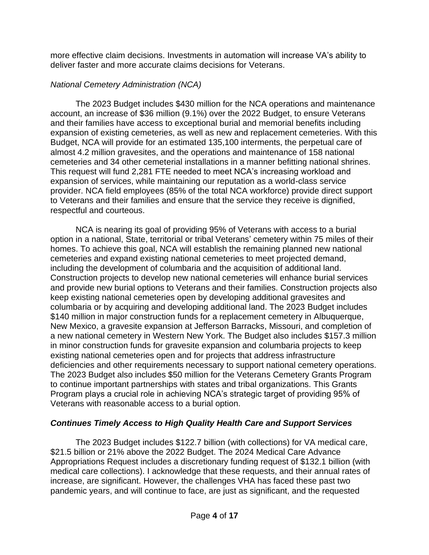more effective claim decisions. Investments in automation will increase VA's ability to deliver faster and more accurate claims decisions for Veterans.

# *National Cemetery Administration (NCA)*

The 2023 Budget includes \$430 million for the NCA operations and maintenance account, an increase of \$36 million (9.1%) over the 2022 Budget, to ensure Veterans and their families have access to exceptional burial and memorial benefits including expansion of existing cemeteries, as well as new and replacement cemeteries. With this Budget, NCA will provide for an estimated 135,100 interments, the perpetual care of almost 4.2 million gravesites, and the operations and maintenance of 158 national cemeteries and 34 other cemeterial installations in a manner befitting national shrines. This request will fund 2,281 FTE needed to meet NCA's increasing workload and expansion of services, while maintaining our reputation as a world-class service provider. NCA field employees (85% of the total NCA workforce) provide direct support to Veterans and their families and ensure that the service they receive is dignified, respectful and courteous.

NCA is nearing its goal of providing 95% of Veterans with access to a burial option in a national, State, territorial or tribal Veterans' cemetery within 75 miles of their homes. To achieve this goal, NCA will establish the remaining planned new national cemeteries and expand existing national cemeteries to meet projected demand, including the development of columbaria and the acquisition of additional land. Construction projects to develop new national cemeteries will enhance burial services and provide new burial options to Veterans and their families. Construction projects also keep existing national cemeteries open by developing additional gravesites and columbaria or by acquiring and developing additional land. The 2023 Budget includes \$140 million in major construction funds for a replacement cemetery in Albuquerque, New Mexico, a gravesite expansion at Jefferson Barracks, Missouri, and completion of a new national cemetery in Western New York. The Budget also includes \$157.3 million in minor construction funds for gravesite expansion and columbaria projects to keep existing national cemeteries open and for projects that address infrastructure deficiencies and other requirements necessary to support national cemetery operations. The 2023 Budget also includes \$50 million for the Veterans Cemetery Grants Program to continue important partnerships with states and tribal organizations. This Grants Program plays a crucial role in achieving NCA's strategic target of providing 95% of Veterans with reasonable access to a burial option.

# *Continues Timely Access to High Quality Health Care and Support Services*

The 2023 Budget includes \$122.7 billion (with collections) for VA medical care, \$21.5 billion or 21% above the 2022 Budget. The 2024 Medical Care Advance Appropriations Request includes a discretionary funding request of \$132.1 billion (with medical care collections). I acknowledge that these requests, and their annual rates of increase, are significant. However, the challenges VHA has faced these past two pandemic years, and will continue to face, are just as significant, and the requested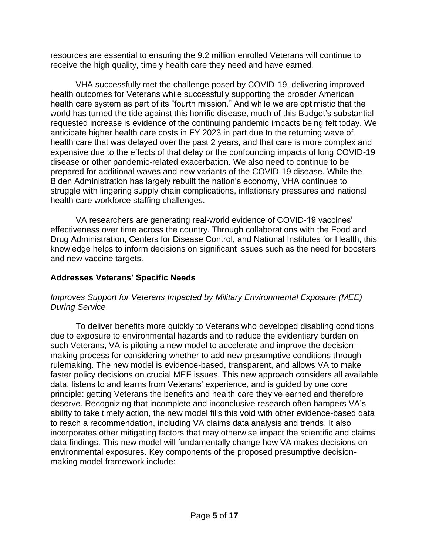resources are essential to ensuring the 9.2 million enrolled Veterans will continue to receive the high quality, timely health care they need and have earned.

VHA successfully met the challenge posed by COVID-19, delivering improved health outcomes for Veterans while successfully supporting the broader American health care system as part of its "fourth mission." And while we are optimistic that the world has turned the tide against this horrific disease, much of this Budget's substantial requested increase is evidence of the continuing pandemic impacts being felt today. We anticipate higher health care costs in FY 2023 in part due to the returning wave of health care that was delayed over the past 2 years, and that care is more complex and expensive due to the effects of that delay or the confounding impacts of long COVID-19 disease or other pandemic-related exacerbation. We also need to continue to be prepared for additional waves and new variants of the COVID-19 disease. While the Biden Administration has largely rebuilt the nation's economy, VHA continues to struggle with lingering supply chain complications, inflationary pressures and national health care workforce staffing challenges.

VA researchers are generating real-world evidence of COVID-19 vaccines' effectiveness over time across the country. Through collaborations with the Food and Drug Administration, Centers for Disease Control, and National Institutes for Health, this knowledge helps to inform decisions on significant issues such as the need for boosters and new vaccine targets.

# **Addresses Veterans' Specific Needs**

## *Improves Support for Veterans Impacted by Military Environmental Exposure (MEE) During Service*

To deliver benefits more quickly to Veterans who developed disabling conditions due to exposure to environmental hazards and to reduce the evidentiary burden on such Veterans, VA is piloting a new model to accelerate and improve the decisionmaking process for considering whether to add new presumptive conditions through rulemaking. The new model is evidence-based, transparent, and allows VA to make faster policy decisions on crucial MEE issues. This new approach considers all available data, listens to and learns from Veterans' experience, and is guided by one core principle: getting Veterans the benefits and health care they've earned and therefore deserve. Recognizing that incomplete and inconclusive research often hampers VA's ability to take timely action, the new model fills this void with other evidence-based data to reach a recommendation, including VA claims data analysis and trends. It also incorporates other mitigating factors that may otherwise impact the scientific and claims data findings. This new model will fundamentally change how VA makes decisions on environmental exposures. Key components of the proposed presumptive decisionmaking model framework include: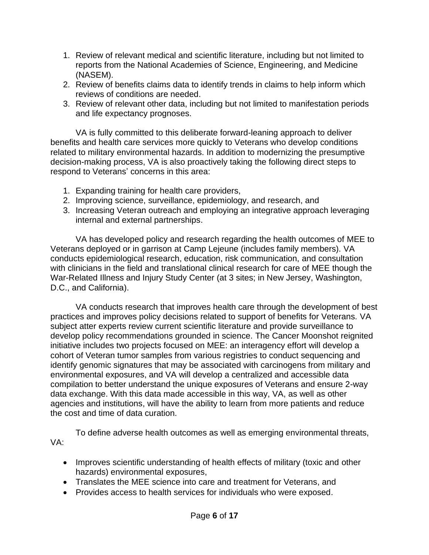- 1. Review of relevant medical and scientific literature, including but not limited to reports from the National Academies of Science, Engineering, and Medicine (NASEM).
- 2. Review of benefits claims data to identify trends in claims to help inform which reviews of conditions are needed.
- 3. Review of relevant other data, including but not limited to manifestation periods and life expectancy prognoses.

VA is fully committed to this deliberate forward-leaning approach to deliver benefits and health care services more quickly to Veterans who develop conditions related to military environmental hazards. In addition to modernizing the presumptive decision-making process, VA is also proactively taking the following direct steps to respond to Veterans' concerns in this area:

- 1. Expanding training for health care providers,
- 2. Improving science, surveillance, epidemiology, and research, and
- 3. Increasing Veteran outreach and employing an integrative approach leveraging internal and external partnerships.

VA has developed policy and research regarding the health outcomes of MEE to Veterans deployed or in garrison at Camp Lejeune (includes family members). VA conducts epidemiological research, education, risk communication, and consultation with clinicians in the field and translational clinical research for care of MEE though the War-Related Illness and Injury Study Center (at 3 sites; in New Jersey, Washington, D.C., and California).

VA conducts research that improves health care through the development of best practices and improves policy decisions related to support of benefits for Veterans. VA subject atter experts review current scientific literature and provide surveillance to develop policy recommendations grounded in science. The Cancer Moonshot reignited initiative includes two projects focused on MEE: an interagency effort will develop a cohort of Veteran tumor samples from various registries to conduct sequencing and identify genomic signatures that may be associated with carcinogens from military and environmental exposures, and VA will develop a centralized and accessible data compilation to better understand the unique exposures of Veterans and ensure 2-way data exchange. With this data made accessible in this way, VA, as well as other agencies and institutions, will have the ability to learn from more patients and reduce the cost and time of data curation.

To define adverse health outcomes as well as emerging environmental threats, VA:

- Improves scientific understanding of health effects of military (toxic and other hazards) environmental exposures,
- Translates the MEE science into care and treatment for Veterans, and
- Provides access to health services for individuals who were exposed.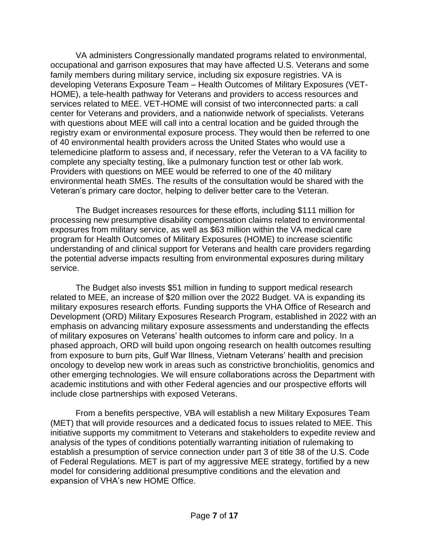VA administers Congressionally mandated programs related to environmental, occupational and garrison exposures that may have affected U.S. Veterans and some family members during military service, including six exposure registries. VA is developing Veterans Exposure Team – Health Outcomes of Military Exposures (VET-HOME), a tele-health pathway for Veterans and providers to access resources and services related to MEE. VET-HOME will consist of two interconnected parts: a call center for Veterans and providers, and a nationwide network of specialists. Veterans with questions about MEE will call into a central location and be guided through the registry exam or environmental exposure process. They would then be referred to one of 40 environmental health providers across the United States who would use a telemedicine platform to assess and, if necessary, refer the Veteran to a VA facility to complete any specialty testing, like a pulmonary function test or other lab work. Providers with questions on MEE would be referred to one of the 40 military environmental heath SMEs. The results of the consultation would be shared with the Veteran's primary care doctor, helping to deliver better care to the Veteran.

The Budget increases resources for these efforts, including \$111 million for processing new presumptive disability compensation claims related to environmental exposures from military service, as well as \$63 million within the VA medical care program for Health Outcomes of Military Exposures (HOME) to increase scientific understanding of and clinical support for Veterans and health care providers regarding the potential adverse impacts resulting from environmental exposures during military service.

The Budget also invests \$51 million in funding to support medical research related to MEE, an increase of \$20 million over the 2022 Budget. VA is expanding its military exposures research efforts. Funding supports the VHA Office of Research and Development (ORD) Military Exposures Research Program, established in 2022 with an emphasis on advancing military exposure assessments and understanding the effects of military exposures on Veterans' health outcomes to inform care and policy. In a phased approach, ORD will build upon ongoing research on health outcomes resulting from exposure to burn pits, Gulf War Illness, Vietnam Veterans' health and precision oncology to develop new work in areas such as constrictive bronchiolitis, genomics and other emerging technologies. We will ensure collaborations across the Department with academic institutions and with other Federal agencies and our prospective efforts will include close partnerships with exposed Veterans.

From a benefits perspective, VBA will establish a new Military Exposures Team (MET) that will provide resources and a dedicated focus to issues related to MEE. This initiative supports my commitment to Veterans and stakeholders to expedite review and analysis of the types of conditions potentially warranting initiation of rulemaking to establish a presumption of service connection under part 3 of title 38 of the U.S. Code of Federal Regulations. MET is part of my aggressive MEE strategy, fortified by a new model for considering additional presumptive conditions and the elevation and expansion of VHA's new HOME Office.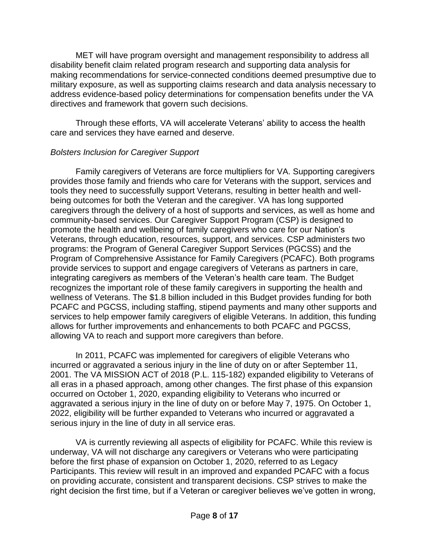MET will have program oversight and management responsibility to address all disability benefit claim related program research and supporting data analysis for making recommendations for service-connected conditions deemed presumptive due to military exposure, as well as supporting claims research and data analysis necessary to address evidence-based policy determinations for compensation benefits under the VA directives and framework that govern such decisions.

Through these efforts, VA will accelerate Veterans' ability to access the health care and services they have earned and deserve.

# *Bolsters Inclusion for Caregiver Support*

Family caregivers of Veterans are force multipliers for VA. Supporting caregivers provides those family and friends who care for Veterans with the support, services and tools they need to successfully support Veterans, resulting in better health and wellbeing outcomes for both the Veteran and the caregiver. VA has long supported caregivers through the delivery of a host of supports and services, as well as home and community-based services. Our Caregiver Support Program (CSP) is designed to promote the health and wellbeing of family caregivers who care for our Nation's Veterans, through education, resources, support, and services. CSP administers two programs: the Program of General Caregiver Support Services (PGCSS) and the Program of Comprehensive Assistance for Family Caregivers (PCAFC). Both programs provide services to support and engage caregivers of Veterans as partners in care, integrating caregivers as members of the Veteran's health care team. The Budget recognizes the important role of these family caregivers in supporting the health and wellness of Veterans. The \$1.8 billion included in this Budget provides funding for both PCAFC and PGCSS, including staffing, stipend payments and many other supports and services to help empower family caregivers of eligible Veterans. In addition, this funding allows for further improvements and enhancements to both PCAFC and PGCSS, allowing VA to reach and support more caregivers than before.

In 2011, PCAFC was implemented for caregivers of eligible Veterans who incurred or aggravated a serious injury in the line of duty on or after September 11, 2001. The VA MISSION ACT of 2018 (P.L. 115-182) expanded eligibility to Veterans of all eras in a phased approach, among other changes. The first phase of this expansion occurred on October 1, 2020, expanding eligibility to Veterans who incurred or aggravated a serious injury in the line of duty on or before May 7, 1975. On October 1, 2022, eligibility will be further expanded to Veterans who incurred or aggravated a serious injury in the line of duty in all service eras.

VA is currently reviewing all aspects of eligibility for PCAFC. While this review is underway, VA will not discharge any caregivers or Veterans who were participating before the first phase of expansion on October 1, 2020, referred to as Legacy Participants. This review will result in an improved and expanded PCAFC with a focus on providing accurate, consistent and transparent decisions. CSP strives to make the right decision the first time, but if a Veteran or caregiver believes we've gotten in wrong,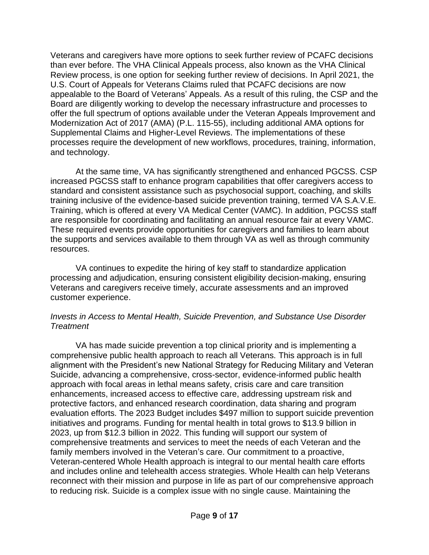Veterans and caregivers have more options to seek further review of PCAFC decisions than ever before. The VHA Clinical Appeals process, also known as the VHA Clinical Review process, is one option for seeking further review of decisions. In April 2021, the U.S. Court of Appeals for Veterans Claims ruled that PCAFC decisions are now appealable to the Board of Veterans' Appeals. As a result of this ruling, the CSP and the Board are diligently working to develop the necessary infrastructure and processes to offer the full spectrum of options available under the Veteran Appeals Improvement and Modernization Act of 2017 (AMA) (P.L. 115-55), including additional AMA options for Supplemental Claims and Higher-Level Reviews. The implementations of these processes require the development of new workflows, procedures, training, information, and technology.

At the same time, VA has significantly strengthened and enhanced PGCSS. CSP increased PGCSS staff to enhance program capabilities that offer caregivers access to standard and consistent assistance such as psychosocial support, coaching, and skills training inclusive of the evidence-based suicide prevention training, termed VA S.A.V.E. Training, which is offered at every VA Medical Center (VAMC). In addition, PGCSS staff are responsible for coordinating and facilitating an annual resource fair at every VAMC. These required events provide opportunities for caregivers and families to learn about the supports and services available to them through VA as well as through community resources.

VA continues to expedite the hiring of key staff to standardize application processing and adjudication, ensuring consistent eligibility decision-making, ensuring Veterans and caregivers receive timely, accurate assessments and an improved customer experience.

#### *Invests in Access to Mental Health, Suicide Prevention, and Substance Use Disorder Treatment*

VA has made suicide prevention a top clinical priority and is implementing a comprehensive public health approach to reach all Veterans. This approach is in full alignment with the President's new National Strategy for Reducing Military and Veteran Suicide, advancing a comprehensive, cross-sector, evidence-informed public health approach with focal areas in lethal means safety, crisis care and care transition enhancements, increased access to effective care, addressing upstream risk and protective factors, and enhanced research coordination, data sharing and program evaluation efforts. The 2023 Budget includes \$497 million to support suicide prevention initiatives and programs. Funding for mental health in total grows to \$13.9 billion in 2023, up from \$12.3 billion in 2022. This funding will support our system of comprehensive treatments and services to meet the needs of each Veteran and the family members involved in the Veteran's care. Our commitment to a proactive, Veteran-centered Whole Health approach is integral to our mental health care efforts and includes online and telehealth access strategies. Whole Health can help Veterans reconnect with their mission and purpose in life as part of our comprehensive approach to reducing risk. Suicide is a complex issue with no single cause. Maintaining the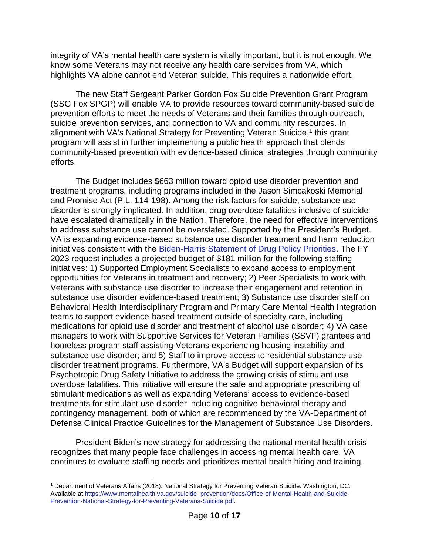integrity of VA's mental health care system is vitally important, but it is not enough. We know some Veterans may not receive any health care services from VA, which highlights VA alone cannot end Veteran suicide. This requires a nationwide effort.

The new Staff Sergeant Parker Gordon Fox Suicide Prevention Grant Program (SSG Fox SPGP) will enable VA to provide resources toward community-based suicide prevention efforts to meet the needs of Veterans and their families through outreach, suicide prevention services, and connection to VA and community resources. In alignment with VA's National Strategy for Preventing Veteran Suicide,<sup>1</sup> this grant program will assist in further implementing a public health approach that blends community-based prevention with evidence-based clinical strategies through community efforts.

The Budget includes \$663 million toward opioid use disorder prevention and treatment programs, including programs included in the Jason Simcakoski Memorial and Promise Act (P.L. 114-198). Among the risk factors for suicide, substance use disorder is strongly implicated. In addition, drug overdose fatalities inclusive of suicide have escalated dramatically in the Nation. Therefore, the need for effective interventions to address substance use cannot be overstated. Supported by the President's Budget, VA is expanding evidence-based substance use disorder treatment and harm reduction initiatives consistent with the [Biden-Harris Statement of Drug Policy Priorities.](https://www.whitehouse.gov/wp-content/uploads/2021/03/BidenHarris-Statement-of-Drug-Policy-Priorities-April-1.pdf) The FY 2023 request includes a projected budget of \$181 million for the following staffing initiatives: 1) Supported Employment Specialists to expand access to employment opportunities for Veterans in treatment and recovery; 2) Peer Specialists to work with Veterans with substance use disorder to increase their engagement and retention in substance use disorder evidence-based treatment; 3) Substance use disorder staff on Behavioral Health Interdisciplinary Program and Primary Care Mental Health Integration teams to support evidence-based treatment outside of specialty care, including medications for opioid use disorder and treatment of alcohol use disorder; 4) VA case managers to work with Supportive Services for Veteran Families (SSVF) grantees and homeless program staff assisting Veterans experiencing housing instability and substance use disorder; and 5) Staff to improve access to residential substance use disorder treatment programs. Furthermore, VA's Budget will support expansion of its Psychotropic Drug Safety Initiative to address the growing crisis of stimulant use overdose fatalities. This initiative will ensure the safe and appropriate prescribing of stimulant medications as well as expanding Veterans' access to evidence-based treatments for stimulant use disorder including cognitive-behavioral therapy and contingency management, both of which are recommended by the VA-Department of Defense Clinical Practice Guidelines for the Management of Substance Use Disorders.

President Biden's new strategy for addressing the national mental health crisis recognizes that many people face challenges in accessing mental health care. VA continues to evaluate staffing needs and prioritizes mental health hiring and training.

<sup>1</sup> Department of Veterans Affairs (2018). National Strategy for Preventing Veteran Suicide. Washington, DC. Available at [https://www.mentalhealth.va.gov/suicide\\_prevention/docs/Office-of-Mental-Health-and-Suicide-](https://www.mentalhealth.va.gov/suicide_prevention/docs/Office-of-Mental-Health-and-Suicide-Prevention-National-Strategy-for-Preventing-Veterans-Suicide.pdf)[Prevention-National-Strategy-for-Preventing-Veterans-Suicide.pdf.](https://www.mentalhealth.va.gov/suicide_prevention/docs/Office-of-Mental-Health-and-Suicide-Prevention-National-Strategy-for-Preventing-Veterans-Suicide.pdf)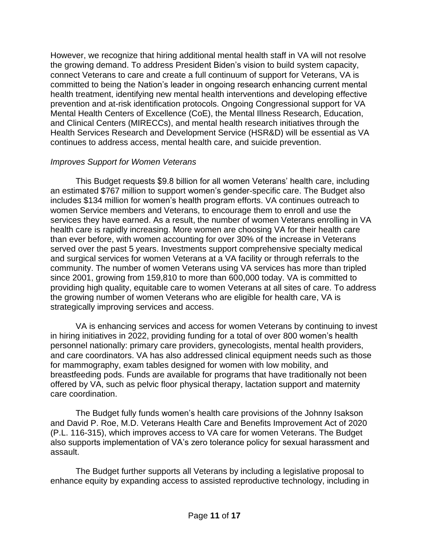However, we recognize that hiring additional mental health staff in VA will not resolve the growing demand. To address President Biden's vision to build system capacity, connect Veterans to care and create a full continuum of support for Veterans, VA is committed to being the Nation's leader in ongoing research enhancing current mental health treatment, identifying new mental health interventions and developing effective prevention and at-risk identification protocols. Ongoing Congressional support for VA Mental Health Centers of Excellence (CoE), the Mental Illness Research, Education, and Clinical Centers (MIRECCs), and mental health research initiatives through the Health Services Research and Development Service (HSR&D) will be essential as VA continues to address access, mental health care, and suicide prevention.

## *Improves Support for Women Veterans*

This Budget requests \$9.8 billion for all women Veterans' health care, including an estimated \$767 million to support women's gender-specific care. The Budget also includes \$134 million for women's health program efforts. VA continues outreach to women Service members and Veterans, to encourage them to enroll and use the services they have earned. As a result, the number of women Veterans enrolling in VA health care is rapidly increasing. More women are choosing VA for their health care than ever before, with women accounting for over 30% of the increase in Veterans served over the past 5 years. Investments support comprehensive specialty medical and surgical services for women Veterans at a VA facility or through referrals to the community. The number of women Veterans using VA services has more than tripled since 2001, growing from 159,810 to more than 600,000 today. VA is committed to providing high quality, equitable care to women Veterans at all sites of care. To address the growing number of women Veterans who are eligible for health care, VA is strategically improving services and access.

VA is enhancing services and access for women Veterans by continuing to invest in hiring initiatives in 2022, providing funding for a total of over 800 women's health personnel nationally: primary care providers, gynecologists, mental health providers, and care coordinators. VA has also addressed clinical equipment needs such as those for mammography, exam tables designed for women with low mobility, and breastfeeding pods. Funds are available for programs that have traditionally not been offered by VA, such as pelvic floor physical therapy, lactation support and maternity care coordination.

The Budget fully funds women's health care provisions of the Johnny Isakson and David P. Roe, M.D. Veterans Health Care and Benefits Improvement Act of 2020 (P.L. 116-315), which improves access to VA care for women Veterans. The Budget also supports implementation of VA's zero tolerance policy for sexual harassment and assault.

The Budget further supports all Veterans by including a legislative proposal to enhance equity by expanding access to assisted reproductive technology, including in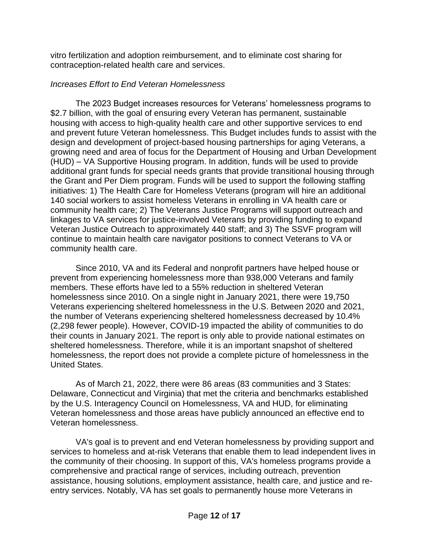vitro fertilization and adoption reimbursement, and to eliminate cost sharing for contraception-related health care and services.

# *Increases Effort to End Veteran Homelessness*

The 2023 Budget increases resources for Veterans' homelessness programs to \$2.7 billion, with the goal of ensuring every Veteran has permanent, sustainable housing with access to high-quality health care and other supportive services to end and prevent future Veteran homelessness. This Budget includes funds to assist with the design and development of project-based housing partnerships for aging Veterans, a growing need and area of focus for the Department of Housing and Urban Development (HUD) – VA Supportive Housing program. In addition, funds will be used to provide additional grant funds for special needs grants that provide transitional housing through the Grant and Per Diem program. Funds will be used to support the following staffing initiatives: 1) The Health Care for Homeless Veterans (program will hire an additional 140 social workers to assist homeless Veterans in enrolling in VA health care or community health care; 2) The Veterans Justice Programs will support outreach and linkages to VA services for justice-involved Veterans by providing funding to expand Veteran Justice Outreach to approximately 440 staff; and 3) The SSVF program will continue to maintain health care navigator positions to connect Veterans to VA or community health care.

Since 2010, VA and its Federal and nonprofit partners have helped house or prevent from experiencing homelessness more than 938,000 Veterans and family members. These efforts have led to a 55% reduction in sheltered Veteran homelessness since 2010. On a single night in January 2021, there were 19,750 Veterans experiencing sheltered homelessness in the U.S. Between 2020 and 2021, the number of Veterans experiencing sheltered homelessness decreased by 10.4% (2,298 fewer people). However, COVID-19 impacted the ability of communities to do their counts in January 2021. The report is only able to provide national estimates on sheltered homelessness. Therefore, while it is an important snapshot of sheltered homelessness, the report does not provide a complete picture of homelessness in the United States.

As of March 21, 2022, there were 86 areas (83 communities and 3 States: Delaware, Connecticut and Virginia) that met the criteria and benchmarks established by the U.S. Interagency Council on Homelessness, VA and HUD, for eliminating Veteran homelessness and those areas have publicly announced an effective end to Veteran homelessness.

VA's goal is to prevent and end Veteran homelessness by providing support and services to homeless and at-risk Veterans that enable them to lead independent lives in the community of their choosing. In support of this, VA's homeless programs provide a comprehensive and practical range of services, including outreach, prevention assistance, housing solutions, employment assistance, health care, and justice and reentry services. Notably, VA has set goals to permanently house more Veterans in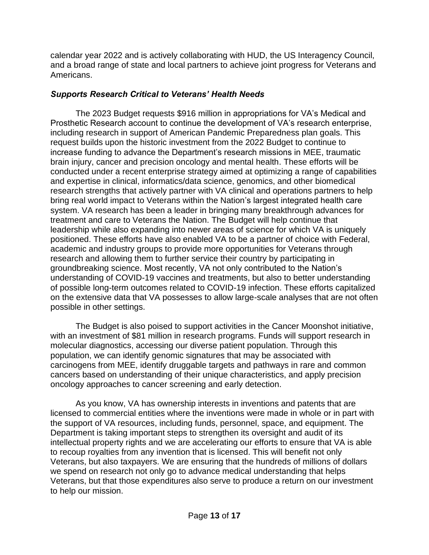calendar year 2022 and is actively collaborating with HUD, the US Interagency Council, and a broad range of state and local partners to achieve joint progress for Veterans and Americans.

# *Supports Research Critical to Veterans' Health Needs*

The 2023 Budget requests \$916 million in appropriations for VA's Medical and Prosthetic Research account to continue the development of VA's research enterprise, including research in support of American Pandemic Preparedness plan goals. This request builds upon the historic investment from the 2022 Budget to continue to increase funding to advance the Department's research missions in MEE, traumatic brain injury, cancer and precision oncology and mental health. These efforts will be conducted under a recent enterprise strategy aimed at optimizing a range of capabilities and expertise in clinical, informatics/data science, genomics, and other biomedical research strengths that actively partner with VA clinical and operations partners to help bring real world impact to Veterans within the Nation's largest integrated health care system. VA research has been a leader in bringing many breakthrough advances for treatment and care to Veterans the Nation. The Budget will help continue that leadership while also expanding into newer areas of science for which VA is uniquely positioned. These efforts have also enabled VA to be a partner of choice with Federal, academic and industry groups to provide more opportunities for Veterans through research and allowing them to further service their country by participating in groundbreaking science. Most recently, VA not only contributed to the Nation's understanding of COVID-19 vaccines and treatments, but also to better understanding of possible long-term outcomes related to COVID-19 infection. These efforts capitalized on the extensive data that VA possesses to allow large-scale analyses that are not often possible in other settings.

The Budget is also poised to support activities in the Cancer Moonshot initiative, with an investment of \$81 million in research programs. Funds will support research in molecular diagnostics, accessing our diverse patient population. Through this population, we can identify genomic signatures that may be associated with carcinogens from MEE, identify druggable targets and pathways in rare and common cancers based on understanding of their unique characteristics, and apply precision oncology approaches to cancer screening and early detection.

As you know, VA has ownership interests in inventions and patents that are licensed to commercial entities where the inventions were made in whole or in part with the support of VA resources, including funds, personnel, space, and equipment. The Department is taking important steps to strengthen its oversight and audit of its intellectual property rights and we are accelerating our efforts to ensure that VA is able to recoup royalties from any invention that is licensed. This will benefit not only Veterans, but also taxpayers. We are ensuring that the hundreds of millions of dollars we spend on research not only go to advance medical understanding that helps Veterans, but that those expenditures also serve to produce a return on our investment to help our mission.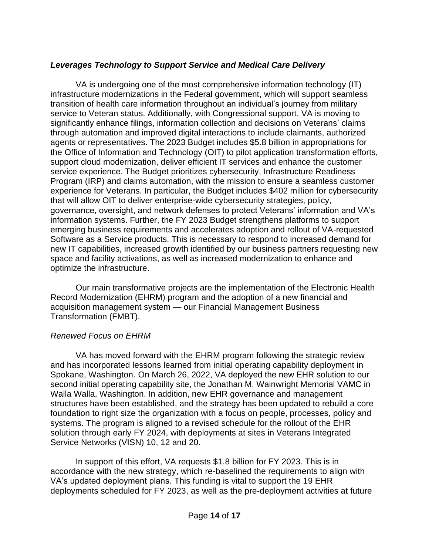# *Leverages Technology to Support Service and Medical Care Delivery*

VA is undergoing one of the most comprehensive information technology (IT) infrastructure modernizations in the Federal government, which will support seamless transition of health care information throughout an individual's journey from military service to Veteran status. Additionally, with Congressional support, VA is moving to significantly enhance filings, information collection and decisions on Veterans' claims through automation and improved digital interactions to include claimants, authorized agents or representatives. The 2023 Budget includes \$5.8 billion in appropriations for the Office of Information and Technology (OIT) to pilot application transformation efforts, support cloud modernization, deliver efficient IT services and enhance the customer service experience. The Budget prioritizes cybersecurity, Infrastructure Readiness Program (IRP) and claims automation, with the mission to ensure a seamless customer experience for Veterans. In particular, the Budget includes \$402 million for cybersecurity that will allow OIT to deliver enterprise-wide cybersecurity strategies, policy, governance, oversight, and network defenses to protect Veterans' information and VA's information systems. Further, the FY 2023 Budget strengthens platforms to support emerging business requirements and accelerates adoption and rollout of VA-requested Software as a Service products. This is necessary to respond to increased demand for new IT capabilities, increased growth identified by our business partners requesting new space and facility activations, as well as increased modernization to enhance and optimize the infrastructure.

Our main transformative projects are the implementation of the Electronic Health Record Modernization (EHRM) program and the adoption of a new financial and acquisition management system — our Financial Management Business Transformation (FMBT).

## *Renewed Focus on EHRM*

VA has moved forward with the EHRM program following the strategic review and has incorporated lessons learned from initial operating capability deployment in Spokane, Washington. On March 26, 2022, VA deployed the new EHR solution to our second initial operating capability site, the Jonathan M. Wainwright Memorial VAMC in Walla Walla, Washington. In addition, new EHR governance and management structures have been established, and the strategy has been updated to rebuild a core foundation to right size the organization with a focus on people, processes, policy and systems. The program is aligned to a revised schedule for the rollout of the EHR solution through early FY 2024, with deployments at sites in Veterans Integrated Service Networks (VISN) 10, 12 and 20.

In support of this effort, VA requests \$1.8 billion for FY 2023. This is in accordance with the new strategy, which re-baselined the requirements to align with VA's updated deployment plans. This funding is vital to support the 19 EHR deployments scheduled for FY 2023, as well as the pre-deployment activities at future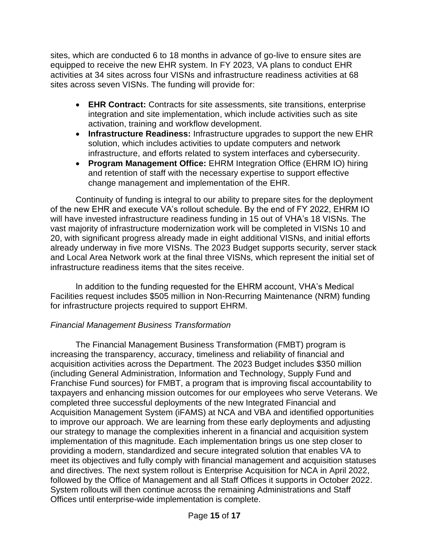sites, which are conducted 6 to 18 months in advance of go-live to ensure sites are equipped to receive the new EHR system. In FY 2023, VA plans to conduct EHR activities at 34 sites across four VISNs and infrastructure readiness activities at 68 sites across seven VISNs. The funding will provide for:

- **EHR Contract:** Contracts for site assessments, site transitions, enterprise integration and site implementation, which include activities such as site activation, training and workflow development.
- **Infrastructure Readiness:** Infrastructure upgrades to support the new EHR solution, which includes activities to update computers and network infrastructure, and efforts related to system interfaces and cybersecurity.
- **Program Management Office:** EHRM Integration Office (EHRM IO) hiring and retention of staff with the necessary expertise to support effective change management and implementation of the EHR.

Continuity of funding is integral to our ability to prepare sites for the deployment of the new EHR and execute VA's rollout schedule. By the end of FY 2022, EHRM IO will have invested infrastructure readiness funding in 15 out of VHA's 18 VISNs. The vast majority of infrastructure modernization work will be completed in VISNs 10 and 20, with significant progress already made in eight additional VISNs, and initial efforts already underway in five more VISNs. The 2023 Budget supports security, server stack and Local Area Network work at the final three VISNs, which represent the initial set of infrastructure readiness items that the sites receive.

In addition to the funding requested for the EHRM account, VHA's Medical Facilities request includes \$505 million in Non-Recurring Maintenance (NRM) funding for infrastructure projects required to support EHRM.

## *Financial Management Business Transformation*

The Financial Management Business Transformation (FMBT) program is increasing the transparency, accuracy, timeliness and reliability of financial and acquisition activities across the Department. The 2023 Budget includes \$350 million (including General Administration, Information and Technology, Supply Fund and Franchise Fund sources) for FMBT, a program that is improving fiscal accountability to taxpayers and enhancing mission outcomes for our employees who serve Veterans. We completed three successful deployments of the new Integrated Financial and Acquisition Management System (iFAMS) at NCA and VBA and identified opportunities to improve our approach. We are learning from these early deployments and adjusting our strategy to manage the complexities inherent in a financial and acquisition system implementation of this magnitude. Each implementation brings us one step closer to providing a modern, standardized and secure integrated solution that enables VA to meet its objectives and fully comply with financial management and acquisition statuses and directives. The next system rollout is Enterprise Acquisition for NCA in April 2022, followed by the Office of Management and all Staff Offices it supports in October 2022. System rollouts will then continue across the remaining Administrations and Staff Offices until enterprise-wide implementation is complete.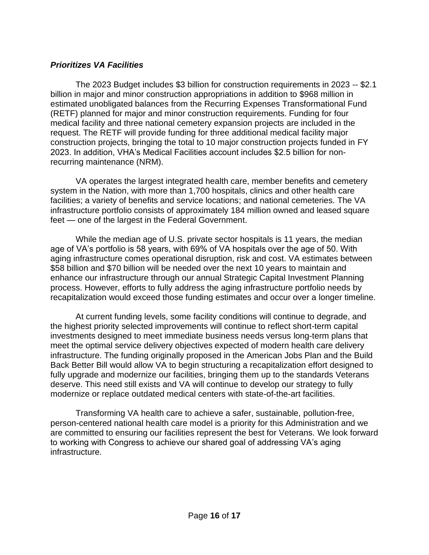## *Prioritizes VA Facilities*

The 2023 Budget includes \$3 billion for construction requirements in 2023 -- \$2.1 billion in major and minor construction appropriations in addition to \$968 million in estimated unobligated balances from the Recurring Expenses Transformational Fund (RETF) planned for major and minor construction requirements. Funding for four medical facility and three national cemetery expansion projects are included in the request. The RETF will provide funding for three additional medical facility major construction projects, bringing the total to 10 major construction projects funded in FY 2023. In addition, VHA's Medical Facilities account includes \$2.5 billion for nonrecurring maintenance (NRM).

VA operates the largest integrated health care, member benefits and cemetery system in the Nation, with more than 1,700 hospitals, clinics and other health care facilities; a variety of benefits and service locations; and national cemeteries. The VA infrastructure portfolio consists of approximately 184 million owned and leased square feet — one of the largest in the Federal Government.

While the median age of U.S. private sector hospitals is 11 years, the median age of VA's portfolio is 58 years, with 69% of VA hospitals over the age of 50. With aging infrastructure comes operational disruption, risk and cost. VA estimates between \$58 billion and \$70 billion will be needed over the next 10 years to maintain and enhance our infrastructure through our annual Strategic Capital Investment Planning process. However, efforts to fully address the aging infrastructure portfolio needs by recapitalization would exceed those funding estimates and occur over a longer timeline.

At current funding levels, some facility conditions will continue to degrade, and the highest priority selected improvements will continue to reflect short-term capital investments designed to meet immediate business needs versus long-term plans that meet the optimal service delivery objectives expected of modern health care delivery infrastructure. The funding originally proposed in the American Jobs Plan and the Build Back Better Bill would allow VA to begin structuring a recapitalization effort designed to fully upgrade and modernize our facilities, bringing them up to the standards Veterans deserve. This need still exists and VA will continue to develop our strategy to fully modernize or replace outdated medical centers with state-of-the-art facilities.

Transforming VA health care to achieve a safer, sustainable, pollution-free, person-centered national health care model is a priority for this Administration and we are committed to ensuring our facilities represent the best for Veterans. We look forward to working with Congress to achieve our shared goal of addressing VA's aging infrastructure.